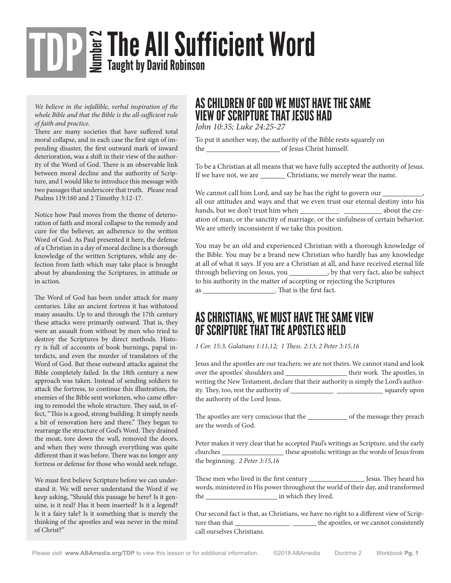# $\mathbf{F}_{\mathbf{F}}^{\mathbf{G}}$  The All Sufficient Word TDP

*We believe in the infallible, verbal inspiration of the whole Bible and that the Bible is the all-sufficient rule of faith and practice.*

There are many societies that have suffered total moral collapse, and in each case the first sign of impending disaster, the first outward mark of inward deterioration, was a shift in their view of the authority of the Word of God. There is an observable link between moral decline and the authority of Scripture, and I would like to introduce this message with two passages that underscore that truth. Please read Psalms 119:160 and 2 Timothy 3:12-17.

Notice how Paul moves from the theme of deterioration of faith and moral collapse to the remedy and cure for the believer, an adherence to the written Word of God. As Paul presented it here, the defense of a Christian in a day of moral decline is a thorough knowledge of the written Scriptures, while any defection from faith which may take place is brought about by abandoning the Scriptures, in attitude or in action.

The Word of God has been under attack for many centuries. Like an ancient fortress it has withstood many assaults. Up to and through the 17th century these attacks were primarily outward. That is, they were an assault from without by men who tried to destroy the Scriptures by direct methods. History is full of accounts of book burnings, papal interdicts, and even the murder of translators of the Word of God. But these outward attacks against the Bible completely failed. In the 18th century a new approach was taken. Instead of sending soldiers to attack the fortress, to continue this illustration, the enemies of the Bible sent workmen, who came offering to remodel the whole structure. They said, in effect, "This is a good, strong building. It simply needs a bit of renovation here and there." They began to rearrange the structure of God's Word. They drained the moat, tore down the wall, removed the doors, and when they were through everything was quite different than it was before. There was no longer any fortress or defense for those who would seek refuge.

We must first believe Scripture before we can understand it. We will never understand the Word if we keep asking, "Should this passage be here? Is it genuine, is it real? Has it been inserted? Is it a legend? Is it a fairy tale? Is it something that is merely the thinking of the apostles and was never in the mind of Christ?"

#### AS CHILDREN OF GOD WE MUST HAVE THE SAME VIEW OF SCRIPTURE THAT JESUS HAD

*John 10:35; Luke 24:25-27*

To put it another way, the authority of the Bible rests squarely on the contract of Jesus Christ himself.

To be a Christian at all means that we have fully accepted the authority of Jesus. If we have not, we are \_\_\_\_\_\_\_\_\_ Christians; we merely wear the name.

We cannot call him Lord, and say he has the right to govern our  $\_\_$ all our attitudes and ways and that we even trust our eternal destiny into his hands, but we don't trust him when about the creation of man, or the sanctity of marriage, or the sinfulness of certain behavior. We are utterly inconsistent if we take this position.

You may be an old and experienced Christian with a thorough knowledge of the Bible. You may be a brand new Christian who hardly has any knowledge at all of what it says. If you are a Christian at all, and have received eternal life through believing on Jesus, you \_\_\_\_\_\_\_\_\_\_, by that very fact, also be subject to his authority in the matter of accepting or rejecting the Scriptures as \_\_\_\_\_\_\_\_\_\_\_\_\_\_\_\_\_\_\_\_\_\_\_. That is the first fact.

#### AS CHRISTIANS, WE MUST HAVE THE SAME VIEW OF SCRIPTURE THAT THE APOSTLES HELD

*1 Cor. 15:3, Galatians 1:11,12; 1 Thess. 2:13; 2 Peter 3:15,16*

Jesus and the apostles are our teachers; we are not theirs. We cannot stand and look over the apostles' shoulders and \_\_\_\_\_\_\_\_\_\_\_\_\_\_\_\_\_\_\_\_\_\_ their work. The apostles, in writing the New Testament, declare that their authority is simply the Lord's authority. They, too, rest the authority of squarely upon the authority of the Lord Jesus.

The apostles are very conscious that the of the message they preach are the words of God.

Peter makes it very clear that he accepted Paul's writings as Scripture, and the early churches \_\_\_\_\_\_\_\_\_\_\_\_\_\_\_\_\_\_\_\_these apostolic writings as the words of Jesus from the beginning. *2 Peter 3:15,16*

These men who lived in the first century Jesus. They heard his words, ministered in His power throughout the world of their day, and transformed the in which they lived.

Our second fact is that, as Christians, we have no right to a different view of Scripture than that \_\_\_\_\_\_\_\_\_\_\_\_\_\_\_\_\_\_\_\_\_\_\_\_\_\_\_\_\_\_\_ the apostles, or we cannot consistently call ourselves Christians.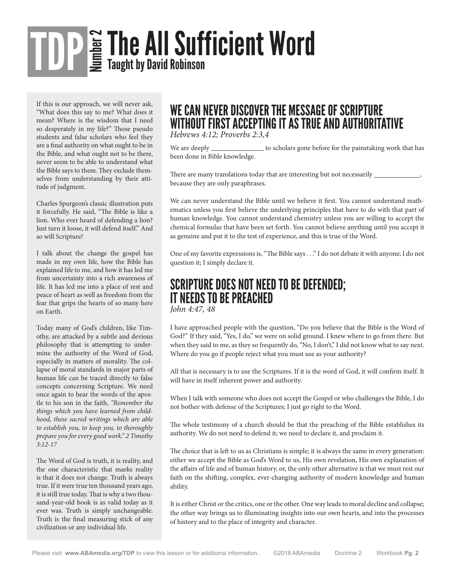## $\mathbf{F}_{\mathbf{H}}^{\mathbf{G}}$  The AII Sufficient Word TDP

If this is our approach, we will never ask, "What does this say to me? What does it mean? Where is the wisdom that I need so desperately in my life?" Those pseudo students and false scholars who feel they are a final authority on what ought to be in the Bible, and what ought not to be there, never seem to be able to understand what the Bible says to them. They exclude themselves from understanding by their attitude of judgment.

Charles Spurgeon's classic illustration puts it forcefully. He said, "The Bible is like a lion. Who ever heard of defending a lion? Just turn it loose, it will defend itself." And so will Scripture!

I talk about the change the gospel has made in my own life, how the Bible has explained life to me, and how it has led me from uncertainty into a rich awareness of life. It has led me into a place of rest and peace of heart as well as freedom from the fear that grips the hearts of so many here on Earth.

Today many of God's children, like Timothy, are attacked by a subtle and devious philosophy that is attempting to undermine the authority of the Word of God, especially in matters of morality. The collapse of moral standards in major parts of human life can be traced directly to false concepts concerning Scripture. We need once again to hear the words of the apostle to his son in the faith, *"Remember the things which you have learned from childhood, these sacred writings which are able to establish you, to keep you, to thoroughly prepare you for every good work." 2 Timothy 3:12-17*

The Word of God is truth, it is reality, and the one characteristic that marks reality is that it does not change. Truth is always true. If it were true ten thousand years ago, it is still true today. That is why a two thousand-year-old book is as valid today as it ever was. Truth is simply unchangeable. Truth is the final measuring stick of any civilization or any individual life.

### WE CAN NEVER DISCOVER THE MESSAGE OF SCRIPTURE WITHOUT FIRST ACCEPTING IT AS TRUE AND AUTHORITATIVE

*Hebrews 4:12; Proverbs 2:3,4*

We are deeply \_\_\_\_\_\_\_\_\_\_\_\_\_\_\_ to scholars gone before for the painstaking work that has been done in Bible knowledge.

There are many translations today that are interesting but not necessarily \_\_ because they are only paraphrases.

We can never understand the Bible until we believe it first. You cannot understand mathematics unless you first believe the underlying principles that have to do with that part of human knowledge. You cannot understand chemistry unless you are willing to accept the chemical formulas that have been set forth. You cannot believe anything until you accept it as genuine and put it to the test of experience, and this is true of the Word.

One of my favorite expressions is, "The Bible says . . ." I do not debate it with anyone; I do not question it; I simply declare it.

### SCRIPTURE DOES NOT NEED TO BE DEFENDED; IT NEEDS TO BE PREACHED *John 4:47, 48*

I have approached people with the question, "Do you believe that the Bible is the Word of God?" If they said, "Yes, I do," we were on solid ground. I knew where to go from there. But when they said to me, as they so frequently do, "No, I don't," I did not know what to say next. Where do you go if people reject what you must use as your authority?

All that is necessary is to use the Scriptures. If it is the word of God, it will confirm itself. It will have in itself inherent power and authority.

When I talk with someone who does not accept the Gospel or who challenges the Bible, I do not bother with defense of the Scriptures; I just go right to the Word.

The whole testimony of a church should be that the preaching of the Bible establishes its authority. We do not need to defend it; we need to declare it, and proclaim it.

The choice that is left to us as Christians is simple; it is always the same in every generation: either we accept the Bible as God's Word to us, His own revelation, His own explanation of the affairs of life and of human history, or, the only other alternative is that we must rest our faith on the shifting, complex, ever-changing authority of modern knowledge and human ability.

It is either Christ or the critics, one or the other. One way leads to moral decline and collapse; the other way brings us to illuminating insights into our own hearts, and into the processes of history and to the place of integrity and character.